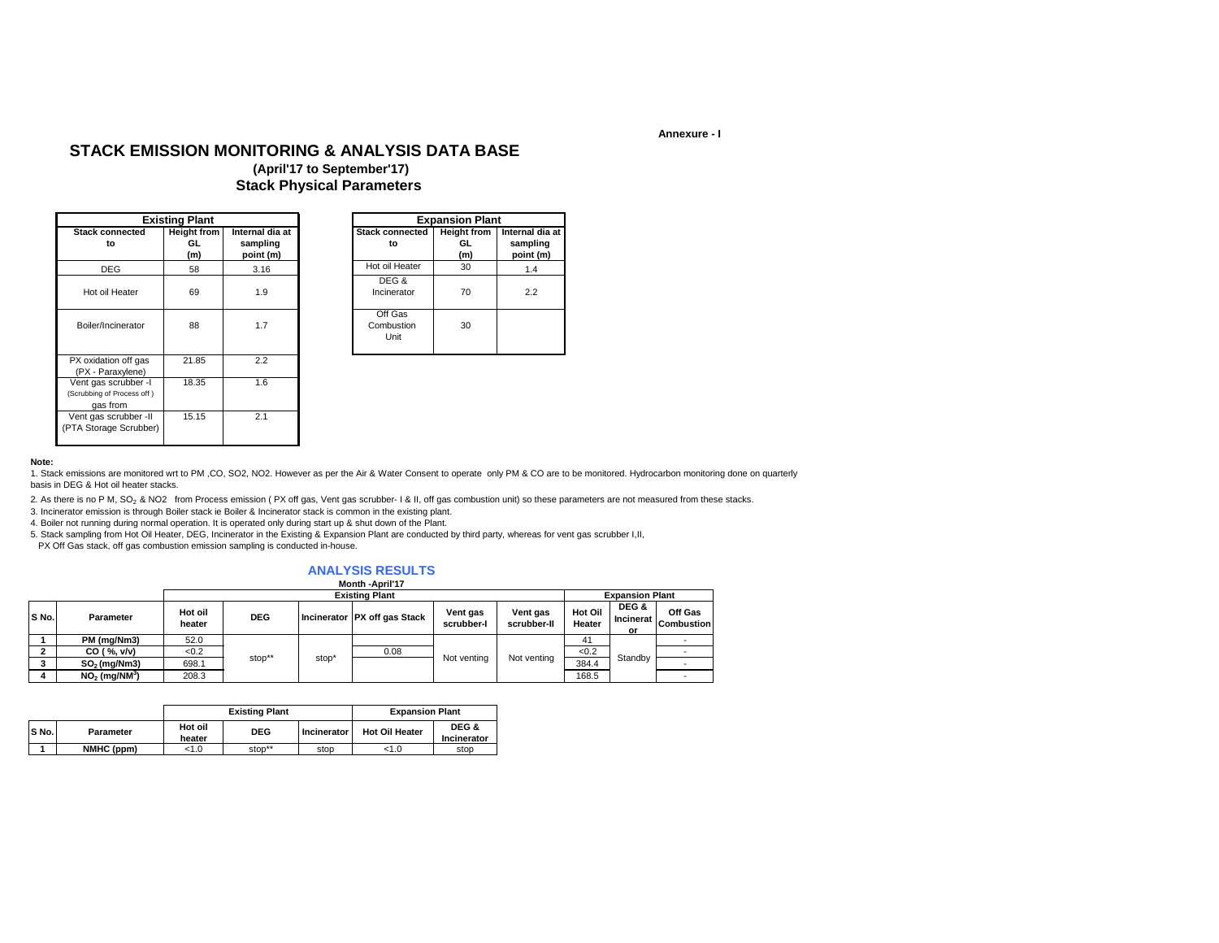#### **Annexure - I**

## **STACK EMISSION MONITORING & ANALYSIS DATA BASE**

### **(April'17 to September'17) Stack Physical Parameters**

|                                                                | <b>Existing Plant</b>           |                                          |                               | <b>Expansion Plant</b>           |
|----------------------------------------------------------------|---------------------------------|------------------------------------------|-------------------------------|----------------------------------|
| <b>Stack connected</b><br>to                                   | <b>Height from</b><br>GL<br>(m) | Internal dia at<br>sampling<br>point (m) | <b>Stack connected</b><br>to  | <b>Height from</b><br>GL.<br>(m) |
| <b>DEG</b>                                                     | 58                              | 3.16                                     | Hot oil Heater                | 30                               |
| Hot oil Heater                                                 | 69                              | 1.9                                      | DEG &<br>Incinerator          | 70                               |
| Boiler/Incinerator                                             | 88                              | 1.7                                      | Off Gas<br>Combustion<br>Unit | 30                               |
| PX oxidation off gas<br>(PX - Paraxylene)                      | 21.85                           | 2.2                                      |                               |                                  |
| Vent gas scrubber -I<br>(Scrubbing of Process off)<br>gas from | 18.35                           | 1.6                                      |                               |                                  |
| Vent gas scrubber -II<br>(PTA Storage Scrubber)                | 15.15                           | 2.1                                      |                               |                                  |

#### **Note:**

1. Stack emissions are monitored wrt to PM ,CO, SO2, NO2. However as per the Air & Water Consent to operate only PM & CO are to be monitored. Hydrocarbon monitoring done on quarterly basis in DEG & Hot oil heater stacks.

2. As there is no P M, SO<sub>2</sub> & NO2 from Process emission (PX off gas, Vent gas scrubber- I & II, off gas combustion unit) so these parameters are not measured from these stacks.

3. Incinerator emission is through Boiler stack ie Boiler & Incinerator stack is common in the existing plant.

4. Boiler not running during normal operation. It is operated only during start up & shut down of the Plant.

5. Stack sampling from Hot Oil Heater, DEG, Incinerator in the Existing & Expansion Plant are conducted by third party, whereas for vent gas scrubber I,II,

PX Off Gas stack, off gas combustion emission sampling is conducted in-house.

### **ANALYSIS RESULTS**

#### **Month -April'17**

|       |                             |                   |            |       | <b>Existing Plant</b>        |                       |                         | <b>Expansion Plant</b> |                          |                              |
|-------|-----------------------------|-------------------|------------|-------|------------------------------|-----------------------|-------------------------|------------------------|--------------------------|------------------------------|
| S No. | Parameter                   | Hot oil<br>heater | <b>DEG</b> |       | Incinerator PX off gas Stack | Vent gas<br>scrubber- | Vent gas<br>scrubber-II | Hot Oil<br>Heater      | DEG &<br>Incinerat<br>or | Off Gas<br><b>Combustion</b> |
|       | PM (mg/Nm3)                 | 52.0              |            |       |                              |                       |                         |                        |                          |                              |
|       | CO ( %, v/v)                | < 0.2             | stop**     |       | 0.08                         |                       |                         | < 0.2                  |                          |                              |
|       | $SO2$ (mg/Nm3)              | 698.1             |            | stop* |                              | Not venting           | Not venting             | 384.4                  | Standby                  |                              |
|       | $NO2$ (mg/NM <sup>3</sup> ) | 208.3             |            |       |                              |                       |                         | 168.5                  |                          |                              |

|       |            |                   | <b>Existing Plant</b> | <b>Expansion Plant</b> |                       |                      |
|-------|------------|-------------------|-----------------------|------------------------|-----------------------|----------------------|
| S No. | Parameter  | Hot oil<br>heater | <b>DEG</b>            | Incinerator            | <b>Hot Oil Heater</b> | DEG &<br>Incinerator |
|       | NMHC (ppm) | < 1.0             | stop**                | stop                   | 1.0                   | stop                 |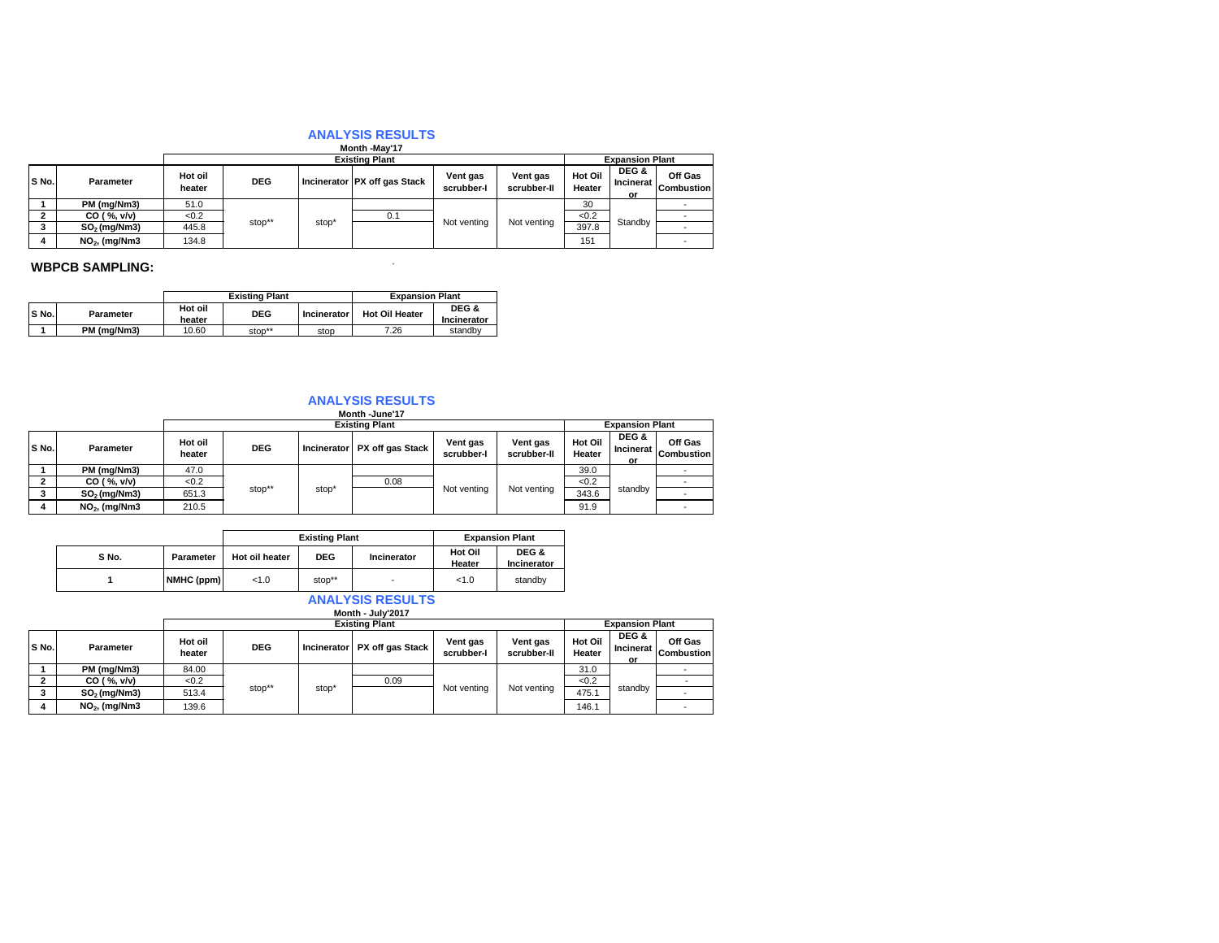# **ANALYSIS RESULTS Month -May'17**

|       |                 |                   |                       |       | <b>IVIUIILII TIVIAV I</b>    |                        |                         |                          |                          |                              |  |
|-------|-----------------|-------------------|-----------------------|-------|------------------------------|------------------------|-------------------------|--------------------------|--------------------------|------------------------------|--|
|       |                 |                   | <b>Existing Plant</b> |       |                              |                        |                         |                          | <b>Expansion Plant</b>   |                              |  |
| S No. | Parameter       | Hot oil<br>heater | <b>DEG</b>            |       | Incinerator PX off gas Stack | Vent gas<br>scrubber-l | Vent gas<br>scrubber-II | <b>Hot Oil</b><br>Heater | DEG &<br>Incinerat<br>or | Off Gas<br><b>Combustion</b> |  |
|       | PM (mg/Nm3)     | 51.0              |                       |       |                              |                        |                         | 30                       |                          |                              |  |
|       | CO ( %, v/v)    | <0.2              |                       |       | 0.1                          |                        |                         | < 0.2                    |                          |                              |  |
|       | $SO2$ (mg/Nm3)  | 445.8             | stop**                | stop' |                              | Not venting            | Not venting             | 397.8                    | Standby                  |                              |  |
|       | $NO2$ , (mg/Nm3 | 134.8             |                       |       |                              |                        |                         | 151                      |                          |                              |  |

### **WBPCB SAMPLING:**  $\blacksquare$

|       |             |                   | <b>Existing Plant</b> | <b>Expansion Plant</b> |                       |                      |
|-------|-------------|-------------------|-----------------------|------------------------|-----------------------|----------------------|
| S No. | Parameter   | Hot oil<br>heater | <b>DEG</b>            | Incinerator            | <b>Hot Oil Heater</b> | DEG &<br>Incinerator |
|       | PM (ma/Nm3) | 10.60             | stop**                | stop                   | 7.26                  | standby              |

# **Month -June'17 ANALYSIS RESULTS**

|       |                 |                   | <b>Existing Plant</b> |       |                              |                        |                         |                   | <b>Expansion Plant</b>          |                              |  |
|-------|-----------------|-------------------|-----------------------|-------|------------------------------|------------------------|-------------------------|-------------------|---------------------------------|------------------------------|--|
| S No. | Parameter       | Hot oil<br>heater | <b>DEG</b>            |       | Incinerator PX off gas Stack | Vent gas<br>scrubber-l | Vent gas<br>scrubber-II | Hot Oil<br>Heater | DEG &<br><b>Incinerat</b><br>or | Off Gas<br><b>Combustion</b> |  |
|       | PM (mg/Nm3)     | 47.0              |                       |       |                              | Not venting            | Not venting             | 39.0              | standby                         |                              |  |
|       | CO ( %, v/v)    | <0.2              |                       |       | 0.08                         |                        |                         | < 0.2             |                                 |                              |  |
|       | $SO2$ (mg/Nm3)  | 651.3             | stop**                | stop' |                              |                        |                         | 343.6             |                                 |                              |  |
| 4     | $NO2$ , (mg/Nm3 | 210.5             |                       |       |                              |                        |                         | 91.9              |                                 |                              |  |

|       |            |                | <b>Existing Plant</b>            |                          | <b>Expansion Plant</b> |                      |  |
|-------|------------|----------------|----------------------------------|--------------------------|------------------------|----------------------|--|
| S No. | Parameter  | Hot oil heater | <b>DEG</b><br><b>Incinerator</b> |                          | Hot Oil<br>Heater      | DEG &<br>Incinerator |  |
|       | NMHC (ppm) | < 1.0          | stop**                           | $\overline{\phantom{a}}$ | < 1.0                  | standby              |  |

# **Month - July'2017 ANALYSIS RESULTS**

|       |                          |                   |                       |       | <b>IVIUIIII - JUIV 40 I</b>  |                        |                         |                        |                          |                              |
|-------|--------------------------|-------------------|-----------------------|-------|------------------------------|------------------------|-------------------------|------------------------|--------------------------|------------------------------|
|       |                          |                   | <b>Existing Plant</b> |       |                              |                        |                         | <b>Expansion Plant</b> |                          |                              |
| S No. | <b>Parameter</b>         | Hot oil<br>heater | <b>DEG</b>            |       | Incinerator PX off gas Stack | Vent gas<br>scrubber-l | Vent gas<br>scrubber-II | Hot Oil<br>Heater      | DEG &<br>Incinerat<br>or | Off Gas<br><b>Combustion</b> |
|       | PM (mg/Nm3)              | 84.00             |                       |       |                              |                        |                         | 31.0                   |                          |                              |
|       | CO ( %, v/v)             | <0.2              |                       |       | 0.09                         |                        |                         | < 0.2                  |                          |                              |
|       | SO <sub>2</sub> (mq/Nm3) | 513.4             | stop**                | stop' |                              | Not venting            | Not venting             | 475.1                  | standby                  |                              |
| 4     | $NO2$ , (mg/Nm3          | 139.6             |                       |       |                              |                        |                         | 146.1                  |                          |                              |